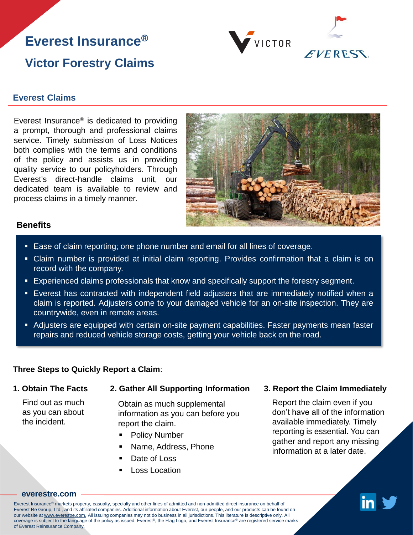# **Everest Insurance® Victor Forestry Claims**



### **Everest Claims**

Everest Insurance® is dedicated to providing a prompt, thorough and professional claims service. Timely submission of Loss Notices both complies with the terms and conditions of the policy and assists us in providing quality service to our policyholders. Through Everest's direct-handle claims unit, our dedicated team is available to review and process claims in a timely manner.



#### **Benefits**

- Ease of claim reporting; one phone number and email for all lines of coverage.
- **E** Claim number is provided at initial claim reporting. Provides confirmation that a claim is on record with the company.
- **Experienced claims professionals that know and specifically support the forestry segment.**
- **Exerest has contracted with independent field adjusters that are immediately notified when a** claim is reported. Adjusters come to your damaged vehicle for an on-site inspection. They are countrywide, even in remote areas.
- **EXAD** Adjusters are equipped with certain on-site payment capabilities. Faster payments mean faster repairs and reduced vehicle storage costs, getting your vehicle back on the road.

### **Three Steps to Quickly Report a Claim**:

#### **1. Obtain The Facts**

**2. Gather All Supporting Information 3. Report the Claim Immediately** 

Find out as much as you can about the incident.

Obtain as much supplemental information as you can before you report the claim.

- Policy Number
- Name, Address, Phone
- Date of Loss
- **Loss Location**

Report the claim even if you don't have all of the information available immediately. Timely reporting is essential. You can gather and report any missing information at a later date.



#### **[everestre.com](http://www.everestre.com/)**

Everest Insurance® markets property, casualty, specialty and other lines of admitted and non-admitted direct insurance on behalf of Everest Re Group, Ltd., and its affiliated companies. Additional information about Everest, our people, and our products can be found on our website at www.everestre.com. All issuing companies may not do business in all jurisdictions. This literature is descriptive only. All coverage is subject to the language of the policy as issued. Everest®, the Flag Logo, and Everest Insurance® are registered service marks of Everest Reinsurance Company.